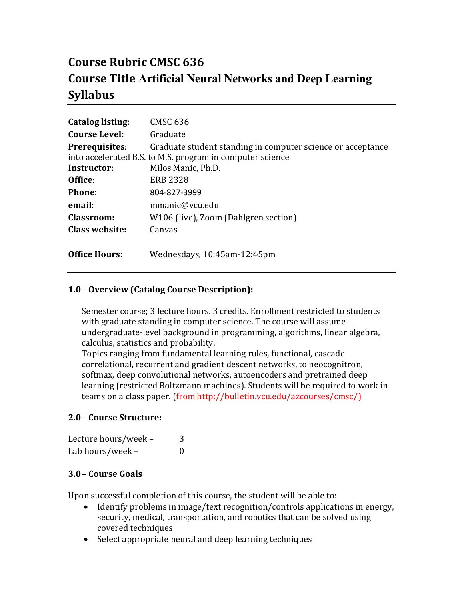# **Course Rubric CMSC 636 Course Title Artificial Neural Networks and Deep Learning Syllabus**

| <b>Catalog listing:</b> | <b>CMSC 636</b>                                             |
|-------------------------|-------------------------------------------------------------|
| <b>Course Level:</b>    | Graduate                                                    |
| <b>Prerequisites:</b>   | Graduate student standing in computer science or acceptance |
|                         | into accelerated B.S. to M.S. program in computer science   |
| Instructor:             | Milos Manic, Ph.D.                                          |
| Office:                 | <b>ERB 2328</b>                                             |
| Phone:                  | 804-827-3999                                                |
| email:                  | mmanic@vcu.edu                                              |
| <b>Classroom:</b>       | W106 (live), Zoom (Dahlgren section)                        |
| Class website:          | Canvas                                                      |
|                         |                                                             |
| <b>Office Hours:</b>    | Wednesdays, 10:45am-12:45pm                                 |

## **1.0– Overview (Catalog Course Description):**

Semester course; 3 lecture hours. 3 credits. Enrollment restricted to students with graduate standing in computer science. The course will assume undergraduate-level background in programming, algorithms, linear algebra, calculus, statistics and probability.

Topics ranging from fundamental learning rules, functional, cascade correlational, recurrent and gradient descent networks, to neocognitron, softmax, deep convolutional networks, autoencoders and pretrained deep learning (restricted Boltzmann machines). Students will be required to work in teams on a class paper. (from http://bulletin.vcu.edu/azcourses/cmsc/)

## **2.0– Course Structure:**

| Lecture hours/week - | 3 |
|----------------------|---|
| Lab hours/week -     | 0 |

## **3.0– Course Goals**

Upon successful completion of this course, the student will be able to:

- Identify problems in image/text recognition/controls applications in energy, security, medical, transportation, and robotics that can be solved using covered techniques
- Select appropriate neural and deep learning techniques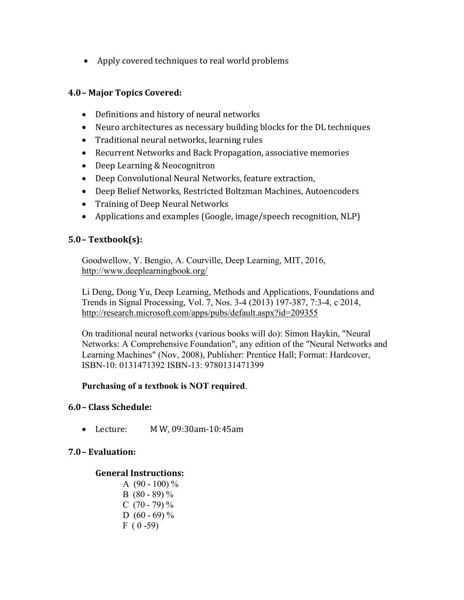• Apply covered techniques to real world problems

## **4.0– Major Topics Covered:**

- Definitions and history of neural networks
- Neuro architectures as necessary building blocks for the DL techniques
- Traditional neural networks, learning rules
- Recurrent Networks and Back Propagation, associative memories
- Deep Learning & Neocognitron
- Deep Convolutional Neural Networks, feature extraction,
- Deep Belief Networks, Restricted Boltzman Machines, Autoencoders
- Training of Deep Neural Networks
- Applications and examples (Google, image/speech recognition, NLP)

## **5.0– Textbook(s):**

Goodwellow, Y. Bengio, A. Courville, Deep Learning, MIT, 2016, <http://www.deeplearningbook.org/>

Li Deng, Dong Yu, Deep Learning, Methods and Applications, Foundations and Trends in Signal Processing, Vol. 7, Nos. 3-4 (2013) 197-387, 7:3-4, c 2014, http://research.microsoft.com/apps/pubs/default.aspx?id=209355

On traditional neural networks (various books will do): Simon Haykin, "Neural Networks: A Comprehensive Foundation", any edition of the "Neural Networks and Learning Machines" (Nov, 2008), Publisher: Prentice Hall; Format: Hardcover, ISBN-10: 0131471392 ISBN-13: 9780131471399

## **Purchasing of a textbook is NOT required**.

#### **6.0– Class Schedule:**

• Lecture: M W, 09:30am-10:45am

## **7.0– Evaluation:**

## **General Instructions:**

A  $(90 - 100)$  % B  $(80 - 89)\%$ C  $(70 - 79)\%$ D  $(60 - 69)$  %  $F(0-59)$